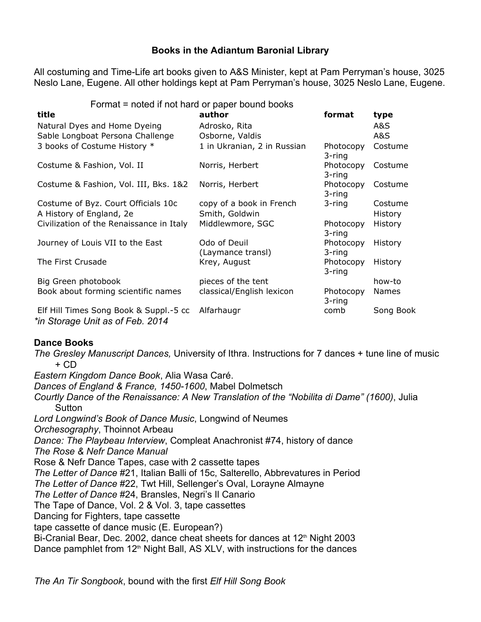# **Books in the Adiantum Baronial Library**

All costuming and TimeLife art books given to A&S Minister, kept at Pam Perryman's house, 3025 Neslo Lane, Eugene. All other holdings kept at Pam Perryman's house, 3025 Neslo Lane, Eugene.

#### Format = noted if not hard or paper bound books

| title                                                                      | author                            | format              | type           |
|----------------------------------------------------------------------------|-----------------------------------|---------------------|----------------|
| Natural Dyes and Home Dyeing                                               | Adrosko, Rita                     |                     | A&S            |
| Sable Longboat Persona Challenge                                           | Osborne, Valdis                   |                     | A&S            |
| 3 books of Costume History *                                               | 1 in Ukranian, 2 in Russian       | Photocopy<br>3-ring | Costume        |
| Costume & Fashion, Vol. II                                                 | Norris, Herbert                   | Photocopy<br>3-ring | Costume        |
| Costume & Fashion, Vol. III, Bks. 1&2                                      | Norris, Herbert                   | Photocopy<br>3-ring | Costume        |
| Costume of Byz. Court Officials 10c                                        | copy of a book in French          | 3-ring              | Costume        |
| A History of England, 2e                                                   | Smith, Goldwin                    |                     | <b>History</b> |
| Civilization of the Renaissance in Italy                                   | Middlewmore, SGC                  | Photocopy<br>3-ring | <b>History</b> |
| Journey of Louis VII to the East                                           | Odo of Deuil<br>(Laymance transl) | Photocopy<br>3-ring | <b>History</b> |
| The First Crusade                                                          | Krey, August                      | Photocopy<br>3-ring | <b>History</b> |
| Big Green photobook                                                        | pieces of the tent                |                     | how-to         |
| Book about forming scientific names                                        | classical/English lexicon         | Photocopy<br>3-ring | Names          |
| Elf Hill Times Song Book & Suppl.-5 cc<br>*in Storage Unit as of Feb. 2014 | Alfarhaugr                        | comb                | Song Book      |

# **Dance Books**

*The Gresley Manuscript Dances,* University of Ithra. Instructions for 7 dances + tune line of music + CD *Eastern Kingdom Dance Book*, Alia Wasa Caré.

Dances of England & France, 1450-1600, Mabel Dolmetsch *Courtly Dance of the Renaissance: A New Translation of the "Nobilita di Dame" (1600)*, Julia **Sutton** *Lord Longwind's Book of Dance Music*, Longwind of Neumes *Orchesography*, Thoinnot Arbeau *Dance: The Playbeau Interview*, Compleat Anachronist #74, history of dance *The Rose & Nefr Dance Manual* Rose & Nefr Dance Tapes, case with 2 cassette tapes *The Letter of Dance* #21, Italian Balli of 15c, Salterello, Abbrevatures in Period *The Letter of Dance* #22, Twt Hill, Sellenger's Oval, Lorayne Almayne *The Letter of Dance* #24, Bransles, Negri's Il Canario The Tape of Dance, Vol. 2 & Vol. 3, tape cassettes Dancing for Fighters, tape cassette tape cassette of dance music (E. European?) Bi-Cranial Bear, Dec. 2002, dance cheat sheets for dances at 12<sup>th</sup> Night 2003 Dance pamphlet from  $12<sup>th</sup>$  Night Ball, AS XLV, with instructions for the dances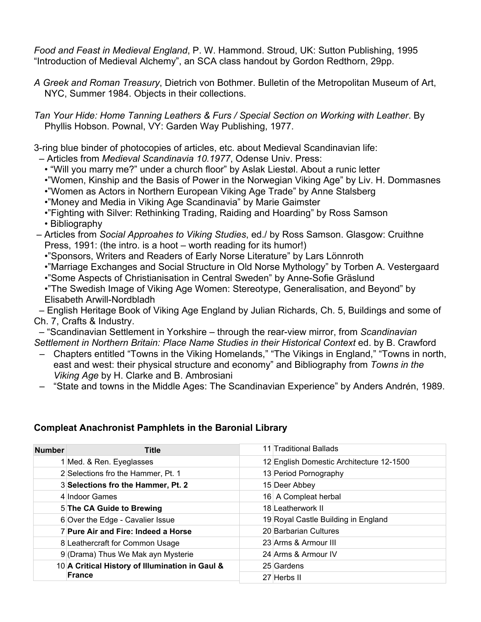*Food and Feast in Medieval England*, P. W. Hammond. Stroud, UK: Sutton Publishing, 1995 "Introduction of Medieval Alchemy", an SCA class handout by Gordon Redthorn, 29pp.

*A Greek and Roman Treasury*, Dietrich von Bothmer. Bulletin of the Metropolitan Museum of Art, NYC, Summer 1984. Objects in their collections.

*Tan Your Hide: Home Tanning Leathers & Furs / Special Section on Working with Leather*. By Phyllis Hobson. Pownal, VY: Garden Way Publishing, 1977.

3ring blue binder of photocopies of articles, etc. about Medieval Scandinavian life:

– Articles from *Medieval Scandinavia 10.1977*, Odense Univ. Press:

- "Will you marry me?" under a church floor" by Aslak Liestøl. About a runic letter
- •"Women, Kinship and the Basis of Power in the Norwegian Viking Age" by Liv. H. Dommasnes
- •"Women as Actors in Northern European Viking Age Trade" by Anne Stalsberg
- •"Money and Media in Viking Age Scandinavia" by Marie Gaimster
- •"Fighting with Silver: Rethinking Trading, Raiding and Hoarding" by Ross Samson
- Bibliography
- Articles from *Social Approahes to Viking Studies*, ed./ by Ross Samson. Glasgow: Cruithne Press, 1991: (the intro. is a hoot – worth reading for its humor!)
	- •"Sponsors, Writers and Readers of Early Norse Literature" by Lars Lönnroth
	- •"Marriage Exchanges and Social Structure in Old Norse Mythology" by Torben A. Vestergaard
	- •"Some Aspects of Christianisation in Central Sweden" by Anne-Sofie Gräslund
	- •"The Swedish Image of Viking Age Women: Stereotype, Generalisation, and Beyond" by Elisabeth Arwill-Nordbladh

 – English Heritage Book of Viking Age England by Julian Richards, Ch. 5, Buildings and some of Ch. 7, Crafts & Industry.

– "Scandinavian Settlement in Yorkshire – through the rear-view mirror, from *Scandinavian Settlement in Northern Britain: Place Name Studies in their Historical Context* ed. by B. Crawford

- Chapters entitled "Towns in the Viking Homelands," "The Vikings in England," "Towns in north, east and west: their physical structure and economy" and Bibliography from *Towns in the Viking Age* by H. Clarke and B. Ambrosiani
- "State and towns in the Middle Ages: The Scandinavian Experience" by Anders Andrén, 1989.

# **Compleat Anachronist Pamphlets in the Baronial Library**

| <b>Number</b> | <b>Title</b>                                              |  | 11 Traditional Ballads                   |
|---------------|-----------------------------------------------------------|--|------------------------------------------|
|               | 1 Med. & Ren. Eyeglasses                                  |  | 12 English Domestic Architecture 12-1500 |
|               | 2 Selections fro the Hammer, Pt. 1                        |  | 13 Period Pornography                    |
|               | 3 Selections fro the Hammer, Pt. 2                        |  | 15 Deer Abbey                            |
|               | 4 Indoor Games                                            |  | 16 A Compleat herbal                     |
|               | 5 The CA Guide to Brewing                                 |  | 18 Leatherwork II                        |
|               | 6 Over the Edge - Cavalier Issue                          |  | 19 Royal Castle Building in England      |
|               | 7 Pure Air and Fire: Indeed a Horse                       |  | 20 Barbarian Cultures                    |
|               | 8 Leathercraft for Common Usage                           |  | 23 Arms & Armour III                     |
|               | 9 (Drama) Thus We Mak ayn Mysterie                        |  | 24 Arms & Armour IV                      |
|               | 10 A Critical History of Illumination in Gaul &<br>France |  | 25 Gardens                               |
|               |                                                           |  | 27 Herbs II                              |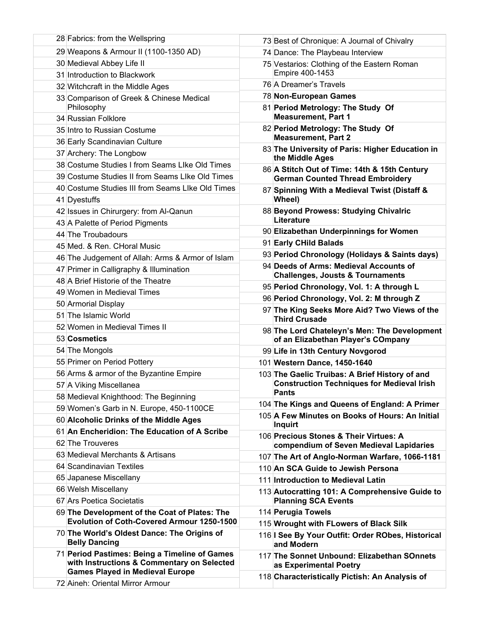| 28 Fabrics: from the Wellspring                                                                                                       | 73 Best of Chronique: A Journal of Chivalry                                        |
|---------------------------------------------------------------------------------------------------------------------------------------|------------------------------------------------------------------------------------|
| 29 Weapons & Armour II (1100-1350 AD)                                                                                                 | 74 Dance: The Playbeau Interview                                                   |
| 30 Medieval Abbey Life II                                                                                                             | 75 Vestarios: Clothing of the Eastern Roman                                        |
| 31 Introduction to Blackwork                                                                                                          | Empire 400-1453                                                                    |
| 32 Witchcraft in the Middle Ages                                                                                                      | 76 A Dreamer's Travels                                                             |
| 33 Comparison of Greek & Chinese Medical                                                                                              | 78 Non-European Games                                                              |
| Philosophy                                                                                                                            | 81 Period Metrology: The Study Of                                                  |
| 34 Russian Folklore                                                                                                                   | <b>Measurement, Part 1</b>                                                         |
| 35 Intro to Russian Costume                                                                                                           | 82 Period Metrology: The Study Of<br><b>Measurement, Part 2</b>                    |
| 36 Early Scandinavian Culture                                                                                                         | 83 The University of Paris: Higher Education in                                    |
| 37 Archery: The Longbow                                                                                                               | the Middle Ages                                                                    |
| 38 Costume Studies I from Seams Like Old Times                                                                                        | 86 A Stitch Out of Time: 14th & 15th Century                                       |
| 39 Costume Studies II from Seams Like Old Times                                                                                       | <b>German Counted Thread Embroidery</b>                                            |
| 40 Costume Studies III from Seams LIke Old Times                                                                                      | 87 Spinning With a Medieval Twist (Distaff &                                       |
| 41 Dyestuffs                                                                                                                          | Wheel)                                                                             |
| 42 Issues in Chirurgery: from Al-Qanun                                                                                                | 88 Beyond Prowess: Studying Chivalric<br>Literature                                |
| 43 A Palette of Period Pigments                                                                                                       | 90 Elizabethan Underpinnings for Women                                             |
| 44 The Troubadours                                                                                                                    | 91 Early CHild Balads                                                              |
| 45 Med. & Ren. CHoral Music                                                                                                           | 93 Period Chronology (Holidays & Saints days)                                      |
| 46 The Judgement of Allah: Arms & Armor of Islam                                                                                      | 94 Deeds of Arms: Medieval Accounts of                                             |
| 47 Primer in Calligraphy & Illumination<br>48 A Brief Historie of the Theatre                                                         | <b>Challenges, Jousts &amp; Tournaments</b>                                        |
| 49 Women in Medieval Times                                                                                                            | 95 Period Chronology, Vol. 1: A through L                                          |
| 50 Armorial Display                                                                                                                   | 96 Period Chronology, Vol. 2: M through Z                                          |
| 51 The Islamic World                                                                                                                  | 97 The King Seeks More Aid? Two Views of the                                       |
| 52 Women in Medieval Times II                                                                                                         | <b>Third Crusade</b>                                                               |
| 53 Cosmetics                                                                                                                          | 98 The Lord Chateleyn's Men: The Development<br>of an Elizabethan Player's COmpany |
| 54 The Mongols                                                                                                                        | 99 Life in 13th Century Novgorod                                                   |
| 55 Primer on Period Pottery                                                                                                           | 101 Western Dance, 1450-1640                                                       |
| 56 Arms & armor of the Byzantine Empire                                                                                               | 103 The Gaelic Truibas: A Brief History of and                                     |
| 57 A Viking Miscellanea                                                                                                               | <b>Construction Techniques for Medieval Irish</b>                                  |
| 58 Medieval Knighthood: The Beginning                                                                                                 | <b>Pants</b>                                                                       |
| 59 Women's Garb in N. Europe, 450-1100CE                                                                                              | 104 The Kings and Queens of England: A Primer                                      |
| 60 Alcoholic Drinks of the Middle Ages                                                                                                | 105 A Few Minutes on Books of Hours: An Initial                                    |
| 61 An Encheridion: The Education of A Scribe                                                                                          | Inquirt                                                                            |
| 62 The Trouveres                                                                                                                      | 106 Precious Stones & Their Virtues: A<br>compendium of Seven Medieval Lapidaries  |
| 63 Medieval Merchants & Artisans                                                                                                      | 107 The Art of Anglo-Norman Warfare, 1066-1181                                     |
| 64 Scandinavian Textiles                                                                                                              | 110 An SCA Guide to Jewish Persona                                                 |
| 65 Japanese Miscellany                                                                                                                | 111 Introduction to Medieval Latin                                                 |
| 66 Welsh Miscellany                                                                                                                   | 113 Autocratting 101: A Comprehensive Guide to                                     |
| 67 Ars Poetica Societatis                                                                                                             | <b>Planning SCA Events</b>                                                         |
| 69 The Development of the Coat of Plates: The                                                                                         | 114 Perugia Towels                                                                 |
| <b>Evolution of Coth-Covered Armour 1250-1500</b>                                                                                     | 115 Wrought with FLowers of Black Silk                                             |
| 70 The World's Oldest Dance: The Origins of<br><b>Belly Dancing</b>                                                                   | 116   See By Your Outfit: Order RObes, Historical<br>and Modern                    |
| 71 Period Pastimes: Being a Timeline of Games<br>with Instructions & Commentary on Selected<br><b>Games Played in Medieval Europe</b> | 117 The Sonnet Unbound: Elizabethan SOnnets<br>as Experimental Poetry              |
| 72 Aineh: Oriental Mirror Armour                                                                                                      | 118 Characteristically Pictish: An Analysis of                                     |
|                                                                                                                                       |                                                                                    |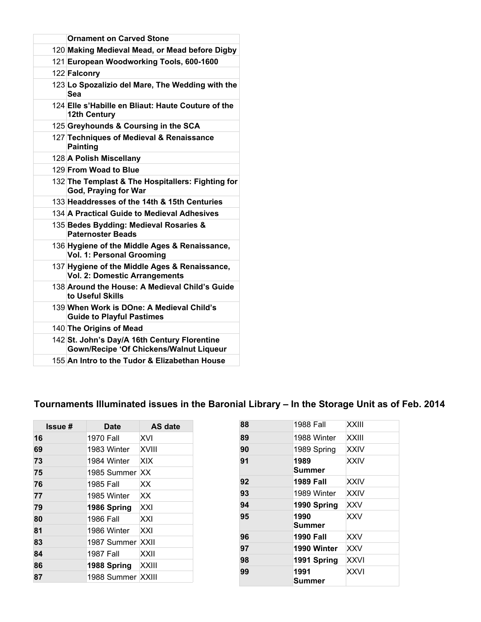| <b>Ornament on Carved Stone</b>                                                         |
|-----------------------------------------------------------------------------------------|
| 120 Making Medieval Mead, or Mead before Digby                                          |
| 121 European Woodworking Tools, 600-1600                                                |
| 122 Falconry                                                                            |
| 123 Lo Spozalizio del Mare, The Wedding with the<br>Sea                                 |
| 124 Elle s'Habille en Bliaut: Haute Couture of the<br><b>12th Century</b>               |
| 125 Greyhounds & Coursing in the SCA                                                    |
| 127 Techniques of Medieval & Renaissance<br><b>Painting</b>                             |
| 128 A Polish Miscellany                                                                 |
| 129 From Woad to Blue                                                                   |
| 132 The Templast & The Hospitallers: Fighting for<br>God, Praying for War               |
| 133 Headdresses of the 14th & 15th Centuries                                            |
| 134 A Practical Guide to Medieval Adhesives                                             |
| 135 Bedes Bydding: Medieval Rosaries &<br><b>Paternoster Beads</b>                      |
| 136 Hygiene of the Middle Ages & Renaissance,<br><b>Vol. 1: Personal Grooming</b>       |
| 137 Hygiene of the Middle Ages & Renaissance,<br><b>Vol. 2: Domestic Arrangements</b>   |
| 138 Around the House: A Medieval Child's Guide<br>to Useful Skills                      |
| 139 When Work is DOne: A Medieval Child's<br><b>Guide to Playful Pastimes</b>           |
| 140 The Origins of Mead                                                                 |
| 142 St. John's Day/A 16th Century Florentine<br>Gown/Recipe 'Of Chickens/Walnut Liqueur |
| 155 An Intro to the Tudor & Elizabethan House                                           |

# **Tournaments Illuminated issues in the Baronial Library – In the Storage Unit as of Feb. 2014**

| <b>Issue#</b> | <b>Date</b>       | <b>AS date</b> |
|---------------|-------------------|----------------|
| 16            | <b>1970 Fall</b>  | XVI            |
| 69            | 1983 Winter       | XVIII          |
| 73            | 1984 Winter       | XIX            |
| 75            | 1985 Summer       | XX.            |
| 76            | 1985 Fall         | XX             |
| 77            | 1985 Winter       | XX             |
| 79            | 1986 Spring       | XXI            |
| 80            | 1986 Fall         | XXI            |
| 81            | 1986 Winter       | XXI            |
| 83            | 1987 Summer       | XXII           |
| 84            | 1987 Fall         | XXII           |
| 86            | 1988 Spring       | <b>XXIII</b>   |
| 87            | 1988 Summer XXIII |                |

| <b>1988 Fall</b>      | <b>XXIII</b> |
|-----------------------|--------------|
| 1988 Winter           | <b>XXIII</b> |
| 1989 Spring           | <b>XXIV</b>  |
| 1989<br><b>Summer</b> | <b>XXIV</b>  |
| <b>1989 Fall</b>      | <b>XXIV</b>  |
| 1989 Winter           | <b>XXIV</b>  |
| 1990 Spring           | <b>XXV</b>   |
| 1990<br><b>Summer</b> | <b>XXV</b>   |
| <b>1990 Fall</b>      | XXV          |
| 1990 Winter           | <b>XXV</b>   |
| 1991 Spring           | <b>XXVI</b>  |
| 1991<br><b>Summer</b> | <b>XXVI</b>  |
|                       |              |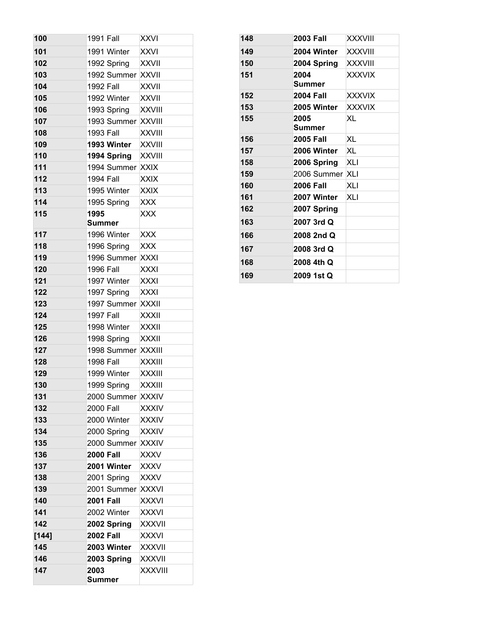| 147        | 2003<br>Summer                        | <b>XXXVIII</b> |     |
|------------|---------------------------------------|----------------|-----|
| 146        | 2003 Spring                           | <b>XXXVII</b>  |     |
| 145        | 2003 Winter                           | <b>XXXVII</b>  |     |
| [144]      | <b>2002 Fall</b>                      | XXXVI          |     |
| 142        | 2002 Spring                           | <b>XXXVII</b>  |     |
| 141        | 2002 Winter                           | <b>XXXVI</b>   |     |
| 140        | <b>2001 Fall</b>                      | XXXVI          |     |
| 139        | 2001 Summer                           | <b>XXXVI</b>   |     |
| 138        | 2001 Spring                           | XXXV           |     |
| 137        | 2001 Winter                           | <b>XXXV</b>    |     |
| 136        | <b>2000 Fall</b>                      | <b>XXXV</b>    |     |
| 135        | 2000 Summer XXXIV                     |                |     |
| 134        | 2000 Spring                           | <b>XXXIV</b>   |     |
| 133        | 2000 Winter                           | <b>XXXIV</b>   |     |
| 132        | 2000 Fall                             | <b>XXXIV</b>   |     |
| 131        | 2000 Summer XXXIV                     |                |     |
| 130        | 1999 Spring                           | <b>XXXIII</b>  |     |
| 129        | 1999 Winter                           | <b>XXXIII</b>  |     |
| 128        | <b>1998 Fall</b>                      | <b>XXXIII</b>  |     |
| 127        | 1998 Summer                           | <b>XXXIII</b>  |     |
| 126        | 1998 Spring                           | <b>XXXII</b>   |     |
| 125        | 1998 Winter                           | <b>XXXII</b>   |     |
| 124        | <b>1997 Fall</b>                      | <b>XXXII</b>   |     |
| 123        | 1997 Summer                           | XXXII          |     |
| 122        | 1997 Spring                           | <b>XXXI</b>    |     |
| 121        | 1997 Winter                           | <b>XXXI</b>    |     |
| 120        | <b>1996 Fall</b>                      | XXXI           | 169 |
| 119        | 1996 Summer                           | <b>XXXI</b>    | 168 |
| 118        | 1996 Spring                           | <b>XXX</b>     | 167 |
| 117        | 1996 Winter                           | <b>XXX</b>     | 166 |
|            | <b>Summer</b>                         |                | 163 |
| 115        | 1995                                  | <b>XXX</b>     | 162 |
| 114        | 1995 Spring                           | <b>XXX</b>     | 161 |
| 113        | 1995 Winter                           | <b>XXIX</b>    | 160 |
| 112        | <b>1994 Fall</b>                      | <b>XXIX</b>    | 159 |
| 111        | 1994 Summer XXIX                      |                | 158 |
| 110        | 1994 Spring                           | <b>XXVIII</b>  | 157 |
| 109        | 1993 Winter                           | <b>XXVIII</b>  | 156 |
| 108        | 1993 Fall                             | <b>XXVIII</b>  |     |
| 107        | 1993 Spring<br>1993 Summer            | <b>XXVIII</b>  | 155 |
| 106        |                                       | <b>XXVIII</b>  | 153 |
| 105        | 1992 Winter                           | <b>XXVII</b>   | 152 |
| 103<br>104 | 1992 Summer XXVII<br><b>1992 Fall</b> | XXVII          | 151 |
| 102        | 1992 Spring                           | <b>XXVII</b>   | 150 |
| 101        | 1991 Winter                           | <b>XXVI</b>    | 149 |
| 100        | 1991 Fall                             | XXVI           | 148 |
|            |                                       |                |     |

| 148 | <b>2003 Fall</b>      | <b>XXXVIII</b> |
|-----|-----------------------|----------------|
| 149 | 2004 Winter           | <b>XXXVIII</b> |
| 150 | 2004 Spring           | <b>XXXVIII</b> |
| 151 | 2004<br><b>Summer</b> | <b>XXXVIX</b>  |
| 152 | <b>2004 Fall</b>      | <b>XXXVIX</b>  |
| 153 | 2005 Winter           | <b>XXXVIX</b>  |
| 155 | 2005<br>Summer        | XL             |
| 156 | <b>2005 Fall</b>      | XL             |
| 157 | 2006 Winter           | XL             |
| 158 | 2006 Spring           | XLI            |
| 159 | 2006 Summer XLI       |                |
| 160 | <b>2006 Fall</b>      | <b>XLI</b>     |
| 161 | 2007 Winter           | XLI            |
| 162 | 2007 Spring           |                |
| 163 | 2007 3rd Q            |                |
| 166 | 2008 2nd Q            |                |
| 167 | 2008 3rd Q            |                |
| 168 | 2008 4th Q            |                |
| 169 | 2009 1st Q            |                |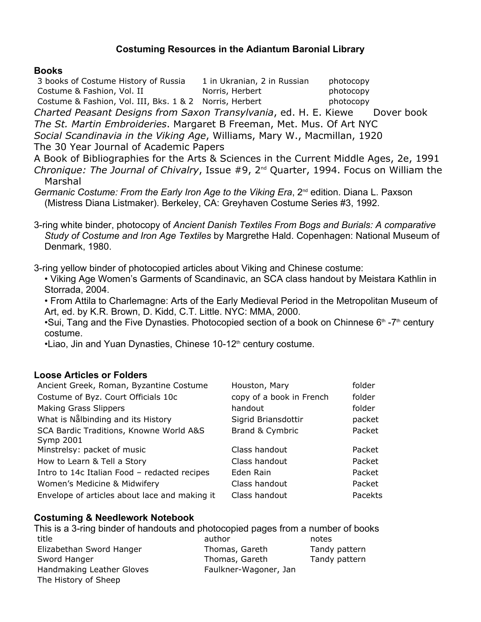# **Costuming Resources in the Adiantum Baronial Library**

#### **Books**

3 books of Costume History of Russia 1 in Ukranian, 2 in Russian photocopy Costume & Fashion, Vol. II Norris, Herbert photocopy Costume & Fashion, Vol. III, Bks. 1 & 2 Norris, Herbert photocopy

*Charted Peasant Designs from Saxon Transylvania, ed. H. E. Kiewe Dover book* 

*The St. Martin Embroideries*. Margaret B Freeman, Met. Mus. Of Art NYC

*Social Scandinavia in the Viking Age*, Williams, Mary W., Macmillan, 1920

The 30 Year Journal of Academic Papers

A Book of Bibliographies for the Arts & Sciences in the Current Middle Ages, 2e, 1991 *Chronique: The Journal of Chivalry, Issue #9, 2<sup>nd</sup> Quarter, 1994. Focus on William the* Marshal

*Germanic Costume: From the Early Iron Age to the Viking Era*, 2nd edition. Diana L. Paxson (Mistress Diana Listmaker). Berkeley, CA: Greyhaven Costume Series #3, 1992.

3ring white binder, photocopy of *Ancient Danish Textiles From Bogs and Burials: A comparative Study of Costume and Iron Age Textiles* by Margrethe Hald. Copenhagen: National Museum of Denmark, 1980.

3ring yellow binder of photocopied articles about Viking and Chinese costume:

• Viking Age Women's Garments of Scandinavic, an SCA class handout by Meistara Kathlin in Storrada, 2004.

• From Attila to Charlemagne: Arts of the Early Medieval Period in the Metropolitan Museum of Art, ed. by K.R. Brown, D. Kidd, C.T. Little. NYC: MMA, 2000.

•Sui, Tang and the Five Dynasties. Photocopied section of a book on Chinnese  $6<sup>th</sup> - 7<sup>th</sup>$  century costume.

•Liao, Jin and Yuan Dynasties, Chinese 10-12<sup>th</sup> century costume.

# **Loose Articles or Folders**

| Ancient Greek, Roman, Byzantine Costume              | Houston, Mary            | folder  |
|------------------------------------------------------|--------------------------|---------|
| Costume of Byz. Court Officials 10c                  | copy of a book in French | folder  |
| <b>Making Grass Slippers</b>                         | handout                  | folder  |
| What is Nålbinding and its History                   | Sigrid Briansdottir      | packet  |
| SCA Bardic Traditions, Knowne World A&S<br>Symp 2001 | Brand & Cymbric          | Packet  |
| Minstrelsy: packet of music                          | Class handout            | Packet  |
| How to Learn & Tell a Story                          | Class handout            | Packet  |
| Intro to 14c Italian Food - redacted recipes         | Eden Rain                | Packet  |
| Women's Medicine & Midwifery                         | Class handout            | Packet  |
| Envelope of articles about lace and making it        | Class handout            | Pacekts |

# **Costuming & Needlework Notebook**

This is a 3-ring binder of handouts and photocopied pages from a number of books title author notes Elizabethan Sword Hanger Thomas, Gareth Tandy pattern Sword Hanger Thomas, Gareth Tandy pattern Tandy pattern Handmaking Leather Gloves Faulkner-Wagoner, Jan The History of Sheep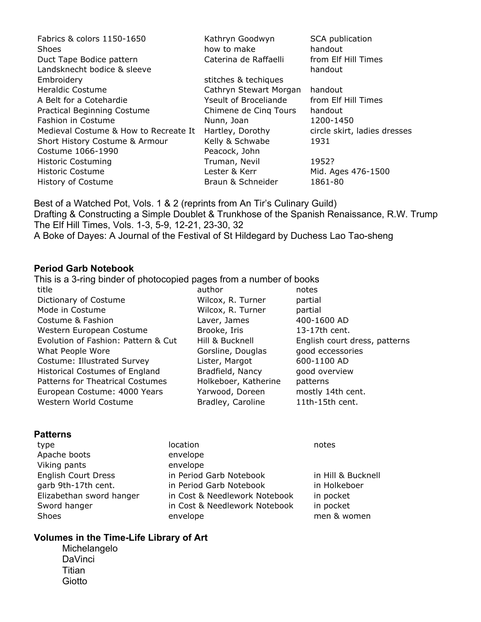| Fabrics & colors 1150-1650            | Kathryn Goodwyn        | SCA publication              |
|---------------------------------------|------------------------|------------------------------|
| <b>Shoes</b>                          | how to make            | handout                      |
| Duct Tape Bodice pattern              | Caterina de Raffaelli  | from Elf Hill Times          |
| Landsknecht bodice & sleeve           |                        | handout                      |
| Embroidery                            | stitches & techiques   |                              |
| Heraldic Costume                      | Cathryn Stewart Morgan | handout                      |
| A Belt for a Cotehardie               | Yseult of Broceliande  | from Elf Hill Times          |
| <b>Practical Beginning Costume</b>    | Chimene de Cing Tours  | handout                      |
| <b>Fashion in Costume</b>             | Nunn, Joan             | 1200-1450                    |
| Medieval Costume & How to Recreate It | Hartley, Dorothy       | circle skirt, ladies dresses |
| Short History Costume & Armour        | Kelly & Schwabe        | 1931                         |
| Costume 1066-1990                     | Peacock, John          |                              |
| <b>Historic Costuming</b>             | Truman, Nevil          | 1952?                        |
| <b>Historic Costume</b>               | Lester & Kerr          | Mid. Ages 476-1500           |
| History of Costume                    | Braun & Schneider      | 1861-80                      |

Best of a Watched Pot, Vols. 1 & 2 (reprints from An Tir's Culinary Guild) Drafting & Constructing a Simple Doublet & Trunkhose of the Spanish Renaissance, R.W. Trump The Elf Hill Times, Vols. 1-3, 5-9, 12-21, 23-30, 32 A Boke of Dayes: A Journal of the Festival of St Hildegard by Duchess Lao Tao-sheng

#### **Period Garb Notebook**

This is a 3-ring binder of photocopied pages from a number of books

- title author **author** author **notes** Dictionary of Costume **Wilcox, R. Turner** partial Mode in Costume **Wilcox, R. Turner** partial Costume & Fashion Laver, James 400-1600 AD Western European Costume Brooke, Iris 13-17th cent. Evolution of Fashion: Pattern & Cut Hill & Bucknell English court dress, patterns What People Wore The Gorsline, Douglas good eccessories Costume: Illustrated Survey Lister, Margot 600-1100 AD Historical Costumes of England Bradfield, Nancy good overview Patterns for Theatrical Costumes Holkeboer, Katherine patterns European Costume: 4000 Years Yarwood, Doreen mostly 14th cent. Western World Costume Bradley, Caroline 11th-15th cent.
- 

#### **Patterns**

type location and the location of the state of the state of the state of the state of the state of the state o Apache boots envelope Viking pants envelope

English Court Dress in Period Garb Notebook in Hill & Bucknell garb 9th-17th cent. in Period Garb Notebook in Holkeboer Elizabethan sword hanger in Cost & Needlework Notebook in pocket Sword hanger in Cost & Needlework Notebook in pocket Shoes envelope men & women

# **Volumes in the TimeLife Library of Art**

Michelangelo **DaVinci Titian Giotto**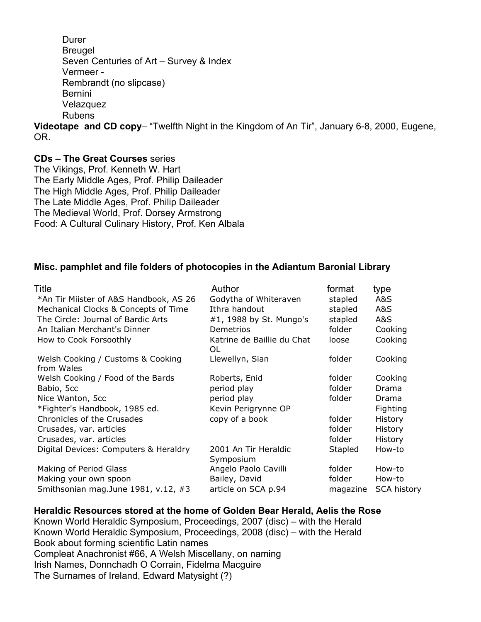Durer Breugel Seven Centuries of Art – Survey & Index Vermeer Rembrandt (no slipcase) Bernini **Velazquez** Rubens

**Videotape and CD copy**– "Twelfth Night in the Kingdom of An Tir", January 6-8, 2000, Eugene, OR.

# **CDs – The Great Courses** series

The Vikings, Prof. Kenneth W. Hart The Early Middle Ages, Prof. Philip Daileader The High Middle Ages, Prof. Philip Daileader The Late Middle Ages, Prof. Philip Daileader The Medieval World, Prof. Dorsey Armstrong Food: A Cultural Culinary History, Prof. Ken Albala

# **Misc. pamphlet and file folders of photocopies in the Adiantum Baronial Library**

| Title                                           | Author                            | format   | type               |
|-------------------------------------------------|-----------------------------------|----------|--------------------|
| *An Tir Miister of A&S Handbook, AS 26          | Godytha of Whiteraven             | stapled  | A&S                |
| Mechanical Clocks & Concepts of Time            | Ithra handout                     | stapled  | A&S                |
| The Circle: Journal of Bardic Arts              | #1, 1988 by St. Mungo's           | stapled  | A&S                |
| An Italian Merchant's Dinner                    | <b>Demetrios</b>                  | folder   | Cooking            |
| How to Cook Forsoothly                          | Katrine de Baillie du Chat<br>OL. | loose    | Cooking            |
| Welsh Cooking / Customs & Cooking<br>from Wales | Llewellyn, Sian                   | folder   | Cooking            |
| Welsh Cooking / Food of the Bards               | Roberts, Enid                     | folder   | Cooking            |
| Babio, 5cc                                      | period play                       | folder   | Drama              |
| Nice Wanton, 5cc                                | period play                       | folder   | Drama              |
| *Fighter's Handbook, 1985 ed.                   | Kevin Perigrynne OP               |          | <b>Fighting</b>    |
| Chronicles of the Crusades                      | copy of a book                    | folder   | <b>History</b>     |
| Crusades, var. articles                         |                                   | folder   | History            |
| Crusades, var. articles                         |                                   | folder   | <b>History</b>     |
| Digital Devices: Computers & Heraldry           | 2001 An Tir Heraldic<br>Symposium | Stapled  | How-to             |
| Making of Period Glass                          | Angelo Paolo Cavilli              | folder   | How-to             |
| Making your own spoon                           | Bailey, David                     | folder   | How-to             |
| Smithsonian mag. June 1981, v.12, #3            | article on SCA p.94               | magazine | <b>SCA history</b> |

#### **Heraldic Resources stored at the home of Golden Bear Herald, Aelis the Rose**

Known World Heraldic Symposium, Proceedings, 2007 (disc) – with the Herald Known World Heraldic Symposium, Proceedings, 2008 (disc) – with the Herald Book about forming scientific Latin names Compleat Anachronist #66, A Welsh Miscellany, on naming Irish Names, Donnchadh O Corrain, Fidelma Macguire The Surnames of Ireland, Edward Matysight (?)